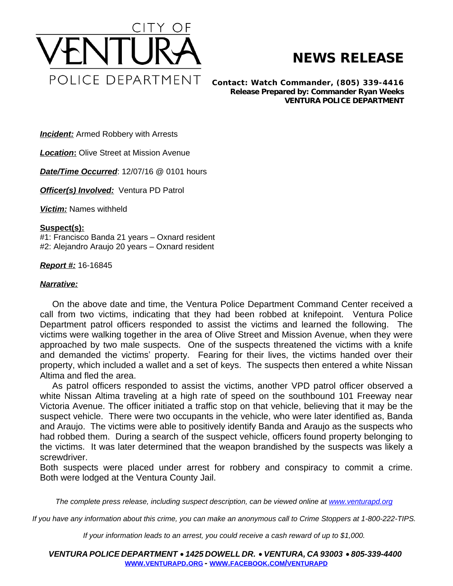

## **NEWS RELEASE**

*Contact: Watch Commander, (805) 339-4416 Release Prepared by: Commander Ryan Weeks* **VENTURA POLICE DEPARTMENT**

**Incident:** Armed Robbery with Arrests

*Location***:** Olive Street at Mission Avenue

*Date/Time Occurred*: 12/07/16 @ 0101 hours

**Officer(s) Involved:** Ventura PD Patrol

*Victim:* Names withheld

## **Suspect(s):**

#1: Francisco Banda 21 years – Oxnard resident #2: Alejandro Araujo 20 years – Oxnard resident

## *Report #:* 16-16845

## *Narrative:*

On the above date and time, the Ventura Police Department Command Center received a call from two victims, indicating that they had been robbed at knifepoint. Ventura Police Department patrol officers responded to assist the victims and learned the following. The victims were walking together in the area of Olive Street and Mission Avenue, when they were approached by two male suspects. One of the suspects threatened the victims with a knife and demanded the victims' property. Fearing for their lives, the victims handed over their property, which included a wallet and a set of keys. The suspects then entered a white Nissan Altima and fled the area.

As patrol officers responded to assist the victims, another VPD patrol officer observed a white Nissan Altima traveling at a high rate of speed on the southbound 101 Freeway near Victoria Avenue. The officer initiated a traffic stop on that vehicle, believing that it may be the suspect vehicle. There were two occupants in the vehicle, who were later identified as, Banda and Araujo. The victims were able to positively identify Banda and Araujo as the suspects who had robbed them. During a search of the suspect vehicle, officers found property belonging to the victims. It was later determined that the weapon brandished by the suspects was likely a screwdriver.

Both suspects were placed under arrest for robbery and conspiracy to commit a crime. Both were lodged at the Ventura County Jail.

The complete press release, including suspect description, can be viewed online at [www.venturapd.org](http://www.venturapd.org)

*If you have any information about this crime, you can make an anonymous call to Crime Stoppers at 1-800-222-TIPS.*

*If your information leads to an arrest, you could receive a cash reward of up to \$1,000.*

*VENTURA POLICE DEPARTMENT* · *1425 DOWELL DR.* · *VENTURA, CA 93003* · *805-339-4400* **WWW.[VENTURAPD](http://www.venturapd.org).ORG** *-* **WWW.FACEBOOK.COM/[VENTURAPD](http://www.facebook.com/venturapd)**